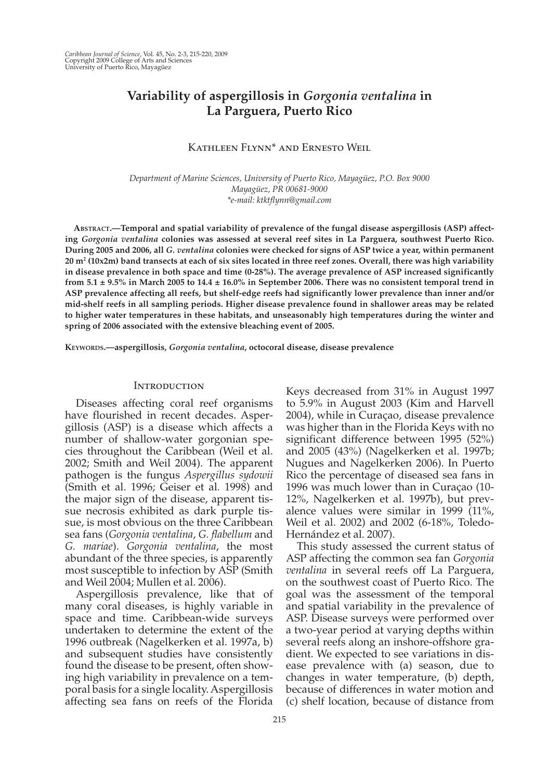# **Variability of aspergillosis in** *Gorgonia ventalina* **in La Parguera, Puerto Rico**

# KATHLEEN FLYNN<sup>\*</sup> AND ERNESTO WEIL

 *Department of Marine Sciences, University of Puerto Rico, Mayagüez, P.O. Box 9000 Mayagüez, PR 00681-9000 \*e-mail: ktktflynn@gmail.com* 

 **ABSTRACT. — Temporal and spatial variability of prevalence of the fungal disease aspergillosis (ASP) affecting** *Gorgonia ventalina* **colonies was assessed at several reef sites in La Parguera, southwest Puerto Rico. During 2005 and 2006, all** *G. ventalina* **colonies were checked for signs of ASP twice a year, within permanent 20 m 2 (10x2m) band transects at each of six sites located in three reef zones. Overall, there was high variability in disease prevalence in both space and time (0-28%). The average prevalence of ASP increased significantly from 5.1 ± 9.5% in March 2005 to 14.4 ± 16.0% in September 2006. There was no consistent temporal trend in ASP prevalence affecting all reefs, but shelf-edge reefs had significantly lower prevalence than inner and/or mid-shelf reefs in all sampling periods. Higher disease prevalence found in shallower areas may be related to higher water temperatures in these habitats, and unseasonably high temperatures during the winter and spring of 2006 associated with the extensive bleaching event of 2005.** 

 **KEYWORDS. — aspergillosis ,** *Gorgonia ventalina* **, octocoral disease , disease prevalence** 

#### **INTRODUCTION**

 Diseases affecting coral reef organisms have flourished in recent decades. Aspergillosis (ASP) is a disease which affects a number of shallow-water gorgonian species throughout the Caribbean (Weil et al. 2002; Smith and Weil 2004). The apparent pathogen is the fungus *Aspergillus sydowii* (Smith et al. 1996; Geiser et al. 1998) and the major sign of the disease, apparent tissue necrosis exhibited as dark purple tissue, is most obvious on the three Caribbean sea fans ( *Gorgonia ventalina* , *G. flabellum* and *G. mariae* ). *Gorgonia ventalina* , the most abundant of the three species, is apparently most susceptible to infection by ASP (Smith and Weil 2004; Mullen et al. 2006).

 Aspergillosis prevalence, like that of many coral diseases, is highly variable in space and time. Caribbean-wide surveys undertaken to determine the extent of the 1996 outbreak (Nagelkerken et al. 1997a, b) and subsequent studies have consistently found the disease to be present, often showing high variability in prevalence on a temporal basis for a single locality. Aspergillosis affecting sea fans on reefs of the Florida

Keys decreased from 31% in August 1997 to 5.9% in August 2003 (Kim and Harvell 2004), while in Curaçao, disease prevalence was higher than in the Florida Keys with no significant difference between 1995 (52%) and 2005 (43%) (Nagelkerken et al. 1997b; Nugues and Nagelkerken 2006). In Puerto Rico the percentage of diseased sea fans in 1996 was much lower than in Curaçao (10- 12%, Nagelkerken et al. 1997b), but prevalence values were similar in 1999  $(11\%$ , Weil et al. 2002) and 2002 (6-18%, Toledo-Hernández et al. 2007).

 This study assessed the current status of ASP affecting the common sea fan *Gorgonia ventalina* in several reefs off La Parguera, on the southwest coast of Puerto Rico. The goal was the assessment of the temporal and spatial variability in the prevalence of ASP. Disease surveys were performed over a two-year period at varying depths within several reefs along an inshore-offshore gradient. We expected to see variations in disease prevalence with (a) season, due to changes in water temperature, (b) depth, because of differences in water motion and (c) shelf location, because of distance from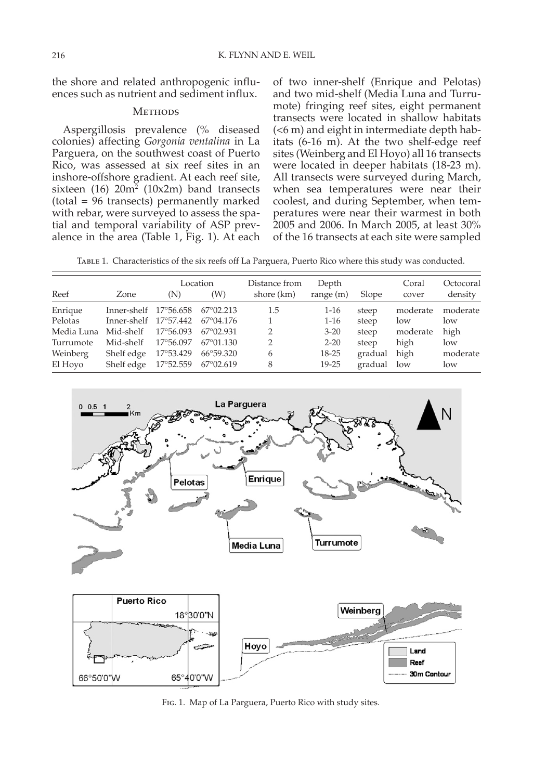the shore and related anthropogenic influences such as nutrient and sediment influx.

## **METHODS**

 Aspergillosis prevalence (% diseased colonies) affecting *Gorgonia ventalina* in La Parguera, on the southwest coast of Puerto Rico, was assessed at six reef sites in an inshore-offshore gradient. At each reef site,  $s$ ixteen (16)  $20m^2$  (10x2m) band transects (total = 96 transects) permanently marked with rebar, were surveyed to assess the spatial and temporal variability of ASP prevalence in the area (Table 1, Fig. 1). At each

of two inner-shelf (Enrique and Pelotas) and two mid-shelf (Media Luna and Turrumote) fringing reef sites, eight permanent transects were located in shallow habitats (<6 m) and eight in intermediate depth habitats (6-16 m). At the two shelf-edge reef sites (Weinberg and El Hoyo) all 16 transects were located in deeper habitats (18-23 m). All transects were surveyed during March, when sea temperatures were near their coolest, and during September, when temperatures were near their warmest in both 2005 and 2006. In March 2005, at least 30% of the 16 transects at each site were sampled

Table 1. Characteristics of the six reefs off La Parguera, Puerto Rico where this study was conducted.

| Reef       | Zone        | (N)       | Location<br>(W)    | Distance from<br>shore (km) | Depth<br>range $(m)$ | Slope   | Coral<br>cover | Octocoral<br>density |
|------------|-------------|-----------|--------------------|-----------------------------|----------------------|---------|----------------|----------------------|
| Enrique    | Inner-shelf | 17°56.658 | $67^{\circ}02.213$ | 1.5                         | $1-16$               | steep   | moderate       | moderate             |
| Pelotas    | Inner-shelf | 17°57.442 | $67^{\circ}04.176$ |                             | $1 - 16$             | steep   | low            | low                  |
| Media Luna | Mid-shelf   | 17°56.093 | $67^{\circ}02.931$ | 2                           | $3 - 20$             | steep   | moderate       | high                 |
| Turrumote  | Mid-shelf   | 17°56.097 | $67^{\circ}01.130$ | 2                           | $2 - 20$             | steep   | high           | low                  |
| Weinberg   | Shelf edge  | 17°53.429 | 66°59.320          | 6                           | $18 - 25$            | gradual | high           | moderate             |
| El Hoyo    | Shelf edge  | 17°52.559 | 67°02.619          | 8                           | $19 - 25$            | gradual | low            | low                  |



FIG. 1. Map of La Parguera, Puerto Rico with study sites.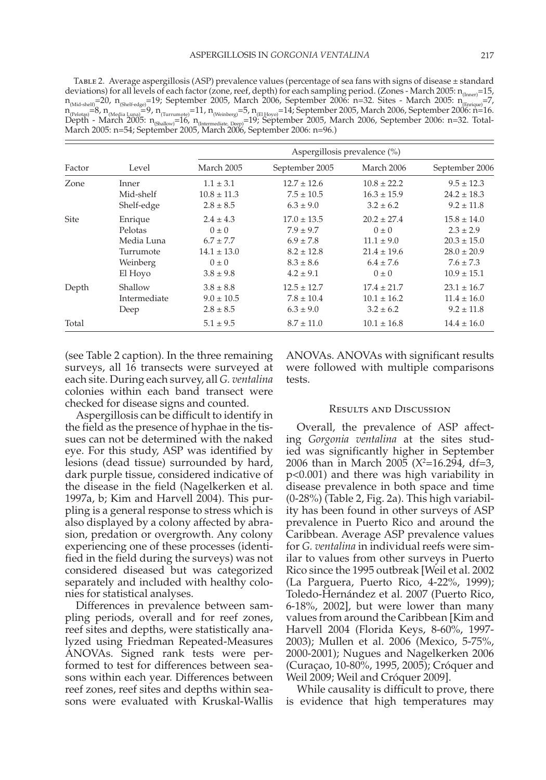Table 2. Average aspergillosis (ASP) prevalence values (percentage of sea fans with signs of disease ± standard deviations) for all levels of each factor (zone, reef, depth) for each sampling period. (Zones - March 2005: n<sub>(Inner</sub>=15,  $n_{\text{(Mid-shell)}} = 20$ ,  $n_{\text{(Shel-edge)}} = 19$ ; September 2005, March 2006, September 2006: n=32. Sites - March 2005: n  $\text{(Bintique)} = 7$ ,  $n_\mathrm{R}\llbracket \mathrm{Re}\log_{10}\llbracket \mathrm{Im}\log_{10}\llbracket \mathrm{Im}\log_{10}\llbracket \mathrm{Im}\log_{10}\llbracket \mathrm{Im}\log_{10}\llbracket \mathrm{Im}\log_{10}\llbracket \mathrm{Im}\log_{10}\llbracket \mathrm{Im}\log_{10}\llbracket \mathrm{Im}\log_{10}\llbracket \mathrm{Im}\log_{10}\llbracket \mathrm{Im}\log_{10}\llbracket \mathrm{Im}\log_{10}\llbracket \mathrm{Im}\log_{10}\llbracket \mathrm{Im}\log_{10}\llbracket \mathrm{Im}\log_{10}\llbracket \mathrm{Im}\log_{10}\llbracket \mathrm{$ Depth - March 2005: n<sub>(Shallow)</sub>=16, n<sub>(Intermediate, Deep)</sub>=19; September 2005, March 2006, September 2006: n=32. Total-<br>March 2005: n=54; September 2005, March 2006, September 2006: n=96.)

|        | Level        | Aspergillosis prevalence $(\%)$ |                 |                 |                 |  |  |  |
|--------|--------------|---------------------------------|-----------------|-----------------|-----------------|--|--|--|
| Factor |              | March 2005                      | September 2005  | March 2006      | September 2006  |  |  |  |
| Zone   | Inner        | $1.1 \pm 3.1$                   | $12.7 \pm 12.6$ | $10.8 \pm 22.2$ | $9.5 \pm 12.3$  |  |  |  |
|        | Mid-shelf    | $10.8 \pm 11.3$                 | $7.5 \pm 10.5$  | $16.3 \pm 15.9$ | $24.2 \pm 18.3$ |  |  |  |
|        | Shelf-edge   | $2.8 \pm 8.5$                   | $6.3 \pm 9.0$   | $3.2 \pm 6.2$   | $9.2 \pm 11.8$  |  |  |  |
| Site   | Enrique      | $2.4 \pm 4.3$                   | $17.0 \pm 13.5$ | $20.2 \pm 27.4$ | $15.8 \pm 14.0$ |  |  |  |
|        | Pelotas      | $0 \pm 0$                       | $7.9 \pm 9.7$   | $0 \pm 0$       | $2.3 + 2.9$     |  |  |  |
|        | Media Luna   | $6.7 \pm 7.7$                   | $6.9 \pm 7.8$   | $11.1 \pm 9.0$  | $20.3 \pm 15.0$ |  |  |  |
|        | Turrumote    | $14.1 \pm 13.0$                 | $8.2 \pm 12.8$  | $21.4 \pm 19.6$ | $28.0 \pm 20.9$ |  |  |  |
|        | Weinberg     | $0\pm 0$                        | $8.3 \pm 8.6$   | $6.4 \pm 7.6$   | $7.6 \pm 7.3$   |  |  |  |
|        | El Hoyo      | $3.8 \pm 9.8$                   | $4.2 \pm 9.1$   | $0 \pm 0$       | $10.9 \pm 15.1$ |  |  |  |
| Depth  | Shallow      | $3.8 \pm 8.8$                   | $12.5 \pm 12.7$ | $17.4 \pm 21.7$ | $23.1 \pm 16.7$ |  |  |  |
|        | Intermediate | $9.0 \pm 10.5$                  | $7.8 \pm 10.4$  | $10.1 \pm 16.2$ | $11.4 \pm 16.0$ |  |  |  |
|        | Deep         | $2.8 \pm 8.5$                   | $6.3 \pm 9.0$   | $3.2 \pm 6.2$   | $9.2 \pm 11.8$  |  |  |  |
| Total  |              | $5.1 \pm 9.5$                   | $8.7 \pm 11.0$  | $10.1 \pm 16.8$ | $14.4 \pm 16.0$ |  |  |  |

(see Table 2 caption). In the three remaining surveys, all 16 transects were surveyed at each site. During each survey, all *G. ventalina* colonies within each band transect were checked for disease signs and counted.

 Aspergillosis can be difficult to identify in the field as the presence of hyphae in the tissues can not be determined with the naked eye. For this study, ASP was identified by lesions (dead tissue) surrounded by hard, dark purple tissue, considered indicative of the disease in the field (Nagelkerken et al. 1997a, b; Kim and Harvell 2004). This purpling is a general response to stress which is also displayed by a colony affected by abrasion, predation or overgrowth. Any colony experiencing one of these processes (identified in the field during the surveys) was not considered diseased but was categorized separately and included with healthy colonies for statistical analyses.

 Differences in prevalence between sampling periods, overall and for reef zones, reef sites and depths, were statistically analyzed using Friedman Repeated-Measures ANOVAs. Signed rank tests were performed to test for differences between seasons within each year. Differences between reef zones, reef sites and depths within seasons were evaluated with Kruskal-Wallis ANOVAs. ANOVAs with significant results were followed with multiple comparisons tests.

### Results and Discussion

 Overall, the prevalence of ASP affecting *Gorgonia ventalina* at the sites studied was significantly higher in September 2006 than in March 2005 (X<sup>2</sup>=16.294, df=3, p<0.001) and there was high variability in disease prevalence in both space and time  $(0-28%)$  (Table 2, Fig. 2a). This high variability has been found in other surveys of ASP prevalence in Puerto Rico and around the Caribbean. Average ASP prevalence values for *G. ventalina* in individual reefs were similar to values from other surveys in Puerto Rico since the 1995 outbreak [Weil et al. 2002 (La Parguera, Puerto Rico, 4-22%, 1999); Toledo-Hernández et al. 2007 (Puerto Rico, 6-18%, 2002], but were lower than many values from around the Caribbean [Kim and Harvell 2004 (Florida Keys, 8-60%, 1997- 2003); Mullen et al. 2006 (Mexico, 5-75%, 2000-2001); Nugues and Nagelkerken 2006 (Curaçao, 10-80%, 1995, 2005); Cróquer and Weil 2009; Weil and Cróquer 2009].

 While causality is difficult to prove, there is evidence that high temperatures may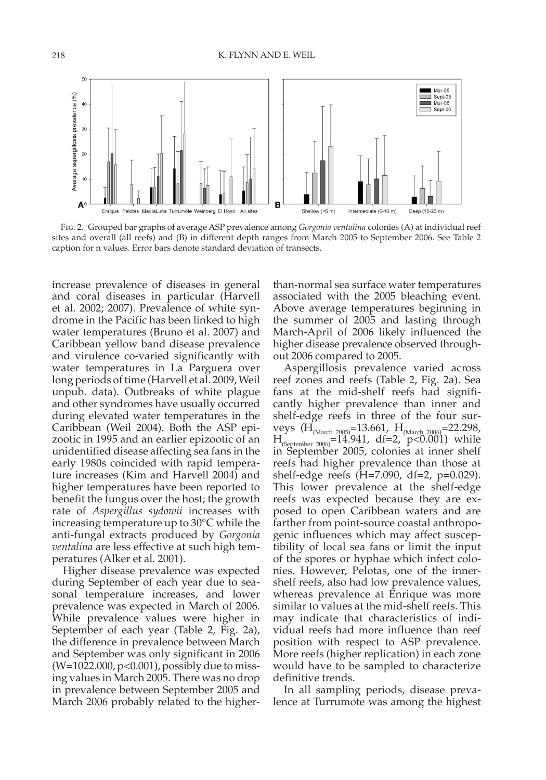

 Fig. 2. Grouped bar graphs of average ASP prevalence among *Gorgonia ventalina* colonies (A) at individual reef sites and overall (all reefs) and (B) in different depth ranges from March 2005 to September 2006. See Table 2 caption for n values. Error bars denote standard deviation of transects.

increase prevalence of diseases in general and coral diseases in particular (Harvell et al. 2002; 2007). Prevalence of white syndrome in the Pacific has been linked to high water temperatures (Bruno et al. 2007) and Caribbean yellow band disease prevalence and virulence co-varied significantly with water temperatures in La Parguera over long periods of time (Harvell et al. 2009, Weil unpub. data). Outbreaks of white plague and other syndromes have usually occurred during elevated water temperatures in the Caribbean (Weil 2004). Both the ASP epizootic in 1995 and an earlier epizootic of an unidentified disease affecting sea fans in the early 1980s coincided with rapid temperature increases (Kim and Harvell 2004) and higher temperatures have been reported to benefit the fungus over the host; the growth rate of *Aspergillus sydowii* increases with increasing temperature up to 30°C while the anti-fungal extracts produced by *Gorgonia ventalina* are less effective at such high temperatures (Alker et al. 2001).

 Higher disease prevalence was expected during September of each year due to seasonal temperature increases, and lower prevalence was expected in March of 2006. While prevalence values were higher in September of each year (Table 2, Fig. 2a), the difference in prevalence between March and September was only significant in 2006 (W=1022.000, p<0.001), possibly due to missing values in March 2005. There was no drop in prevalence between September 2005 and March 2006 probably related to the higherthan-normal sea surface water temperatures associated with the 2005 bleaching event. Above average temperatures beginning in the summer of 2005 and lasting through March-April of 2006 likely influenced the higher disease prevalence observed throughout 2006 compared to 2005.

 Aspergillosis prevalence varied across reef zones and reefs (Table 2, Fig. 2a). Sea fans at the mid-shelf reefs had significantly higher prevalence than inner and shelf-edge reefs in three of the four surveys  $(H_{(March 2005)} = 13.661, H_{(March 2006)} = 22.298,$  $H_{\text{(September 2006)}} = 14.941, df = 2, p < 0.001$  while in September 2005, colonies at inner shelf reefs had higher prevalence than those at shelf-edge reefs (H=7.090, df=2, p=0.029). This lower prevalence at the shelf-edge reefs was expected because they are exposed to open Caribbean waters and are farther from point-source coastal anthropogenic influences which may affect susceptibility of local sea fans or limit the input of the spores or hyphae which infect colonies. However, Pelotas, one of the innershelf reefs, also had low prevalence values, whereas prevalence at Enrique was more similar to values at the mid-shelf reefs. This may indicate that characteristics of individual reefs had more influence than reef position with respect to ASP prevalence. More reefs (higher replication) in each zone would have to be sampled to characterize definitive trends.

 In all sampling periods, disease prevalence at Turrumote was among the highest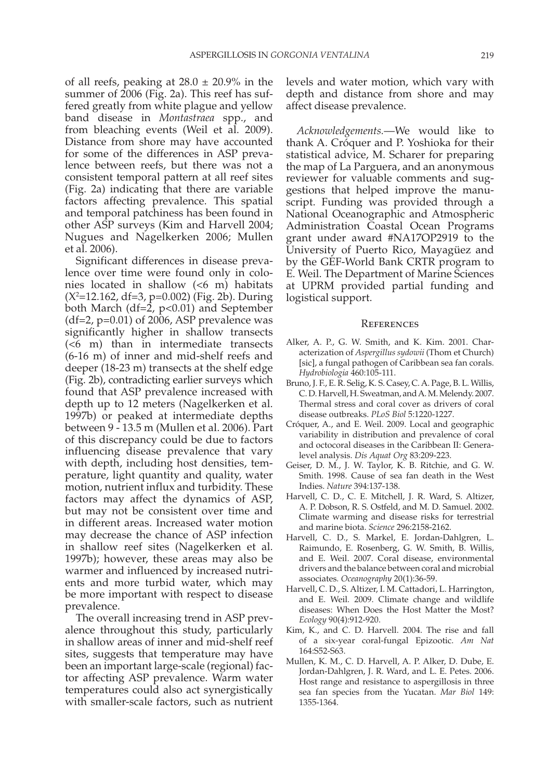of all reefs, peaking at  $28.0 \pm 20.9\%$  in the summer of 2006 (Fig. 2a). This reef has suffered greatly from white plague and yellow band disease in *Montastraea* spp., and from bleaching events (Weil et al. 2009). Distance from shore may have accounted for some of the differences in ASP prevalence between reefs, but there was not a consistent temporal pattern at all reef sites (Fig. 2a) indicating that there are variable factors affecting prevalence. This spatial and temporal patchiness has been found in other ASP surveys (Kim and Harvell 2004; Nugues and Nagelkerken 2006; Mullen et al. 2006).

 Significant differences in disease prevalence over time were found only in colonies located in shallow (<6 m) habitats  $(X^2=12.162, df=3, p=0.002)$  (Fig. 2b). During both March (df=2, p<0.01) and September  $(df=2, p=0.01)$  of 2006, ASP prevalence was significantly higher in shallow transects (<6 m) than in intermediate transects (6-16 m) of inner and mid-shelf reefs and deeper (18-23 m) transects at the shelf edge (Fig. 2b), contradicting earlier surveys which found that ASP prevalence increased with depth up to 12 meters (Nagelkerken et al. 1997b) or peaked at intermediate depths between 9 - 13.5 m (Mullen et al. 2006). Part of this discrepancy could be due to factors influencing disease prevalence that vary with depth, including host densities, temperature, light quantity and quality, water motion, nutrient influx and turbidity. These factors may affect the dynamics of ASP, but may not be consistent over time and in different areas. Increased water motion may decrease the chance of ASP infection in shallow reef sites (Nagelkerken et al. 1997b); however, these areas may also be warmer and influenced by increased nutrients and more turbid water, which may be more important with respect to disease prevalence.

 The overall increasing trend in ASP prevalence throughout this study, particularly in shallow areas of inner and mid-shelf reef sites, suggests that temperature may have been an important large-scale (regional) factor affecting ASP prevalence. Warm water temperatures could also act synergistically with smaller-scale factors, such as nutrient levels and water motion, which vary with depth and distance from shore and may affect disease prevalence.

 *Acknowledgements.* — We would like to thank A. Cróquer and P. Yoshioka for their statistical advice, M. Scharer for preparing the map of La Parguera, and an anonymous reviewer for valuable comments and suggestions that helped improve the manuscript. Funding was provided through a National Oceanographic and Atmospheric Administration Coastal Ocean Programs grant under award #NA17OP2919 to the University of Puerto Rico, Mayagüez and by the GEF-World Bank CRTR program to E. Weil. The Department of Marine Sciences at UPRM provided partial funding and logistical support.

#### **REFERENCES**

- Alker, A. P., G. W. Smith, and K. Kim. 2001. Characterization of *Aspergillus sydowii* (Thom et Church) [sic], a fungal pathogen of Caribbean sea fan corals. *Hydrobiologia* 460:105-111.
- Bruno, J. F., E. R. Selig, K. S. Casey, C. A. Page, B. L. Willis, C. D. Harvell, H. Sweatman, and A. M. Melendy. 2007. Thermal stress and coral cover as drivers of coral disease outbreaks. *PLoS Biol* 5:1220-1227.
- Cróquer, A., and E. Weil. 2009. Local and geographic variability in distribution and prevalence of coral and octocoral diseases in the Caribbean II: Generalevel analysis. *Dis Aquat Org* 83:209-223.
- Geiser, D. M., J. W. Taylor, K. B. Ritchie, and G. W. Smith. 1998. Cause of sea fan death in the West Indies. *Nature* 394:137-138.
- Harvell, C. D., C. E. Mitchell, J. R. Ward, S. Altizer, A. P. Dobson, R. S. Ostfeld, and M. D. Samuel. 2002. Climate warming and disease risks for terrestrial and marine biota. *Science* 296:2158-2162.
- Harvell, C. D., S. Markel, E. Jordan-Dahlgren, L. Raimundo, E. Rosenberg, G. W. Smith, B. Willis, and E. Weil. 2007. Coral disease, environmental drivers and the balance between coral and microbial associates *. Oceanography* 20(1):36-59.
- Harvell, C. D., S. Altizer, I. M. Cattadori, L. Harrington, and E. Weil. 2009. Climate change and wildlife diseases: When Does the Host Matter the Most? *Ecology* 90(4):912-920.
- Kim, K., and C. D. Harvell. 2004. The rise and fall of a six-year coral-fungal Epizootic. *Am Nat* 164:S52-S63.
- Mullen, K. M., C. D. Harvell, A. P. Alker, D. Dube, E. Jordan-Dahlgren, J. R. Ward, and L. E. Petes. 2006. Host range and resistance to aspergillosis in three sea fan species from the Yucatan. *Mar Biol* 149: 1355-1364.